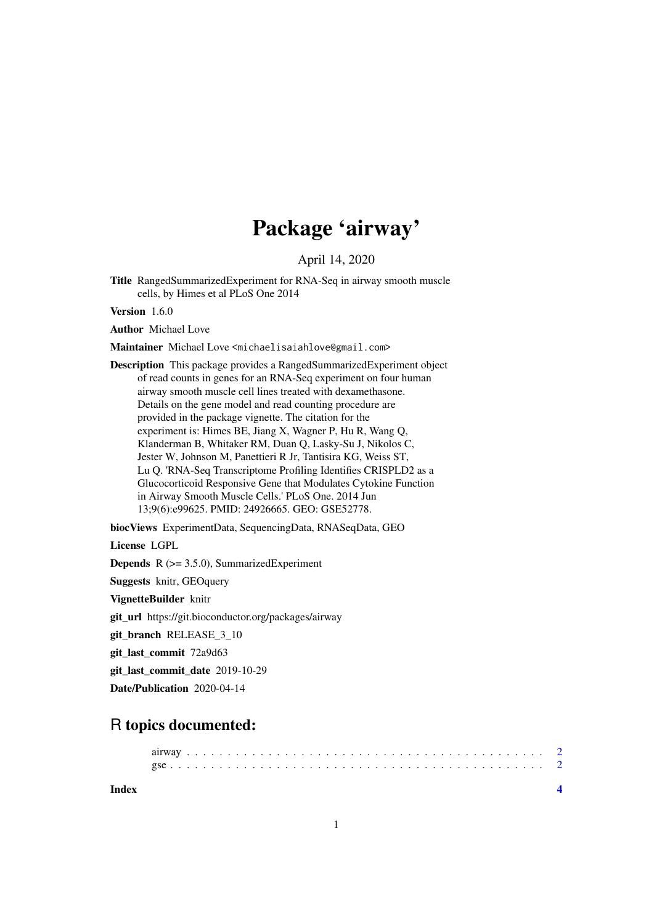# Package 'airway'

April 14, 2020

Title RangedSummarizedExperiment for RNA-Seq in airway smooth muscle cells, by Himes et al PLoS One 2014

Version 1.6.0

Author Michael Love

Maintainer Michael Love <michaelisaiahlove@gmail.com>

Description This package provides a RangedSummarizedExperiment object of read counts in genes for an RNA-Seq experiment on four human airway smooth muscle cell lines treated with dexamethasone. Details on the gene model and read counting procedure are provided in the package vignette. The citation for the experiment is: Himes BE, Jiang X, Wagner P, Hu R, Wang Q, Klanderman B, Whitaker RM, Duan Q, Lasky-Su J, Nikolos C, Jester W, Johnson M, Panettieri R Jr, Tantisira KG, Weiss ST, Lu Q. 'RNA-Seq Transcriptome Profiling Identifies CRISPLD2 as a Glucocorticoid Responsive Gene that Modulates Cytokine Function in Airway Smooth Muscle Cells.' PLoS One. 2014 Jun 13;9(6):e99625. PMID: 24926665. GEO: GSE52778.

biocViews ExperimentData, SequencingData, RNASeqData, GEO

License LGPL

Depends R (>= 3.5.0), SummarizedExperiment

Suggests knitr, GEOquery

VignetteBuilder knitr

git\_url https://git.bioconductor.org/packages/airway

git\_branch RELEASE\_3\_10

git\_last\_commit 72a9d63

git last commit date 2019-10-29

Date/Publication 2020-04-14

# R topics documented:

**Index** [4](#page-3-0)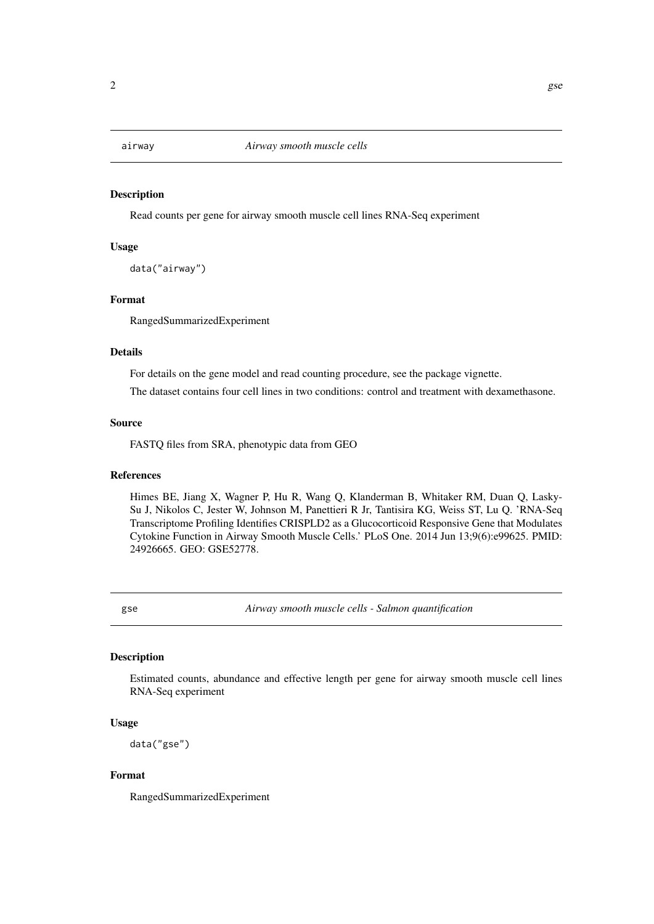<span id="page-1-0"></span>

#### Description

Read counts per gene for airway smooth muscle cell lines RNA-Seq experiment

### Usage

data("airway")

#### Format

RangedSummarizedExperiment

#### Details

For details on the gene model and read counting procedure, see the package vignette.

The dataset contains four cell lines in two conditions: control and treatment with dexamethasone.

#### Source

FASTQ files from SRA, phenotypic data from GEO

#### References

Himes BE, Jiang X, Wagner P, Hu R, Wang Q, Klanderman B, Whitaker RM, Duan Q, Lasky-Su J, Nikolos C, Jester W, Johnson M, Panettieri R Jr, Tantisira KG, Weiss ST, Lu Q. 'RNA-Seq Transcriptome Profiling Identifies CRISPLD2 as a Glucocorticoid Responsive Gene that Modulates Cytokine Function in Airway Smooth Muscle Cells.' PLoS One. 2014 Jun 13;9(6):e99625. PMID: 24926665. GEO: GSE52778.

gse *Airway smooth muscle cells - Salmon quantification*

#### Description

Estimated counts, abundance and effective length per gene for airway smooth muscle cell lines RNA-Seq experiment

#### Usage

data("gse")

#### Format

RangedSummarizedExperiment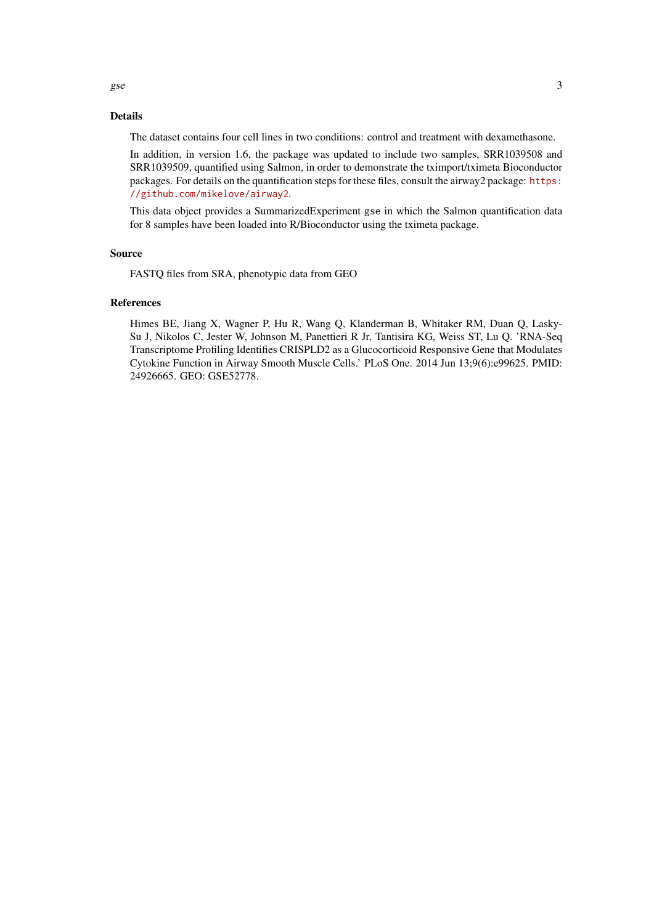## Details

The dataset contains four cell lines in two conditions: control and treatment with dexamethasone.

In addition, in version 1.6, the package was updated to include two samples, SRR1039508 and SRR1039509, quantified using Salmon, in order to demonstrate the tximport/tximeta Bioconductor packages. For details on the quantification steps for these files, consult the airway2 package: [https:](https://github.com/mikelove/airway2) [//github.com/mikelove/airway2](https://github.com/mikelove/airway2).

This data object provides a SummarizedExperiment gse in which the Salmon quantification data for 8 samples have been loaded into R/Bioconductor using the tximeta package.

#### Source

FASTQ files from SRA, phenotypic data from GEO

#### References

Himes BE, Jiang X, Wagner P, Hu R, Wang Q, Klanderman B, Whitaker RM, Duan Q, Lasky-Su J, Nikolos C, Jester W, Johnson M, Panettieri R Jr, Tantisira KG, Weiss ST, Lu Q. 'RNA-Seq Transcriptome Profiling Identifies CRISPLD2 as a Glucocorticoid Responsive Gene that Modulates Cytokine Function in Airway Smooth Muscle Cells.' PLoS One. 2014 Jun 13;9(6):e99625. PMID: 24926665. GEO: GSE52778.

 $gse$  3